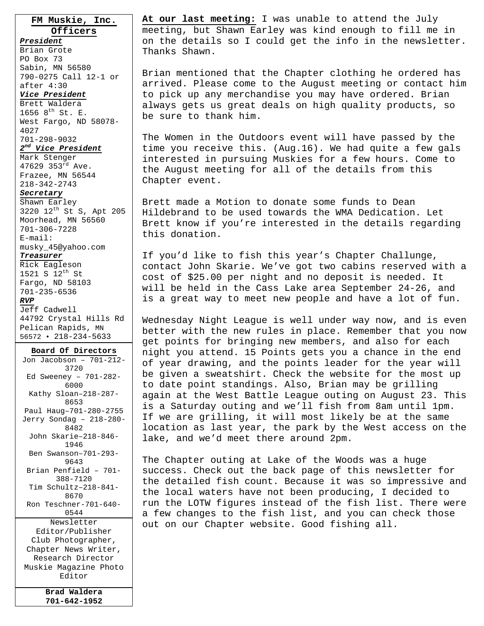**FM Muskie, Inc. Officers**

*President* Brian Grote PO Box 73 Sabin, MN 56580 790-0275 Call 12-1 or after 4:30 *Vice President*

Brett Waldera 1656  $8^{th}$  St. E. West Fargo, ND 58078- 4027 701-298-9032

### *2nd Vice President*

Mark Stenger 47629 353rd Ave. Frazee, MN 56544 218-342-2743

#### *Secretary*

Shawn Earley 3220 12th St S, Apt 205 Moorhead, MN 56560 701-306-7228 E-mail: musky\_45@yahoo.com

#### *Treasurer*

Rick Eagleson 1521 S 12th St Fargo, ND 58103 701-235-6536 *RVP* Jeff Cadwell

44792 Crystal Hills Rd Pelican Rapids, MN 56572 • 218-234-5633

**Board Of Directors** Jon Jacobson – 701-212- 3720 Ed Sweeney – 701-282- 6000 Kathy Sloan–218-287- 8653 Paul Haug–701-280-2755 Jerry Sondag – 218-280- 8482 John Skarie–218-846- 1946 Ben Swanson–701-293- 9643 Brian Penfield – 701- 388-7120 Tim Schultz–218-841- 8670 Ron Teschner-701-640- 0544 Newsletter Editor/Publisher Club Photographer, Chapter News Writer, Research Director Muskie Magazine Photo Editor

> **Brad Waldera 701-642-1952**

**At our last meeting:** I was unable to attend the July meeting, but Shawn Earley was kind enough to fill me in on the details so I could get the info in the newsletter. Thanks Shawn.

Brian mentioned that the Chapter clothing he ordered has arrived. Please come to the August meeting or contact him to pick up any merchandise you may have ordered. Brian always gets us great deals on high quality products, so be sure to thank him.

The Women in the Outdoors event will have passed by the time you receive this. (Aug.16). We had quite a few gals interested in pursuing Muskies for a few hours. Come to the August meeting for all of the details from this Chapter event.

Brett made a Motion to donate some funds to Dean Hildebrand to be used towards the WMA Dedication. Let Brett know if you're interested in the details regarding this donation.

If you'd like to fish this year's Chapter Challunge, contact John Skarie. We've got two cabins reserved with a cost of \$25.00 per night and no deposit is needed. It will be held in the Cass Lake area September 24-26, and is a great way to meet new people and have a lot of fun.

Wednesday Night League is well under way now, and is even better with the new rules in place. Remember that you now get points for bringing new members, and also for each night you attend. 15 Points gets you a chance in the end of year drawing, and the points leader for the year will be given a sweatshirt. Check the website for the most up to date point standings. Also, Brian may be grilling again at the West Battle League outing on August 23. This is a Saturday outing and we'll fish from 8am until 1pm. If we are grilling, it will most likely be at the same location as last year, the park by the West access on the lake, and we'd meet there around 2pm.

The Chapter outing at Lake of the Woods was a huge success. Check out the back page of this newsletter for the detailed fish count. Because it was so impressive and the local waters have not been producing, I decided to run the LOTW figures instead of the fish list. There were a few changes to the fish list, and you can check those out on our Chapter website. Good fishing all.